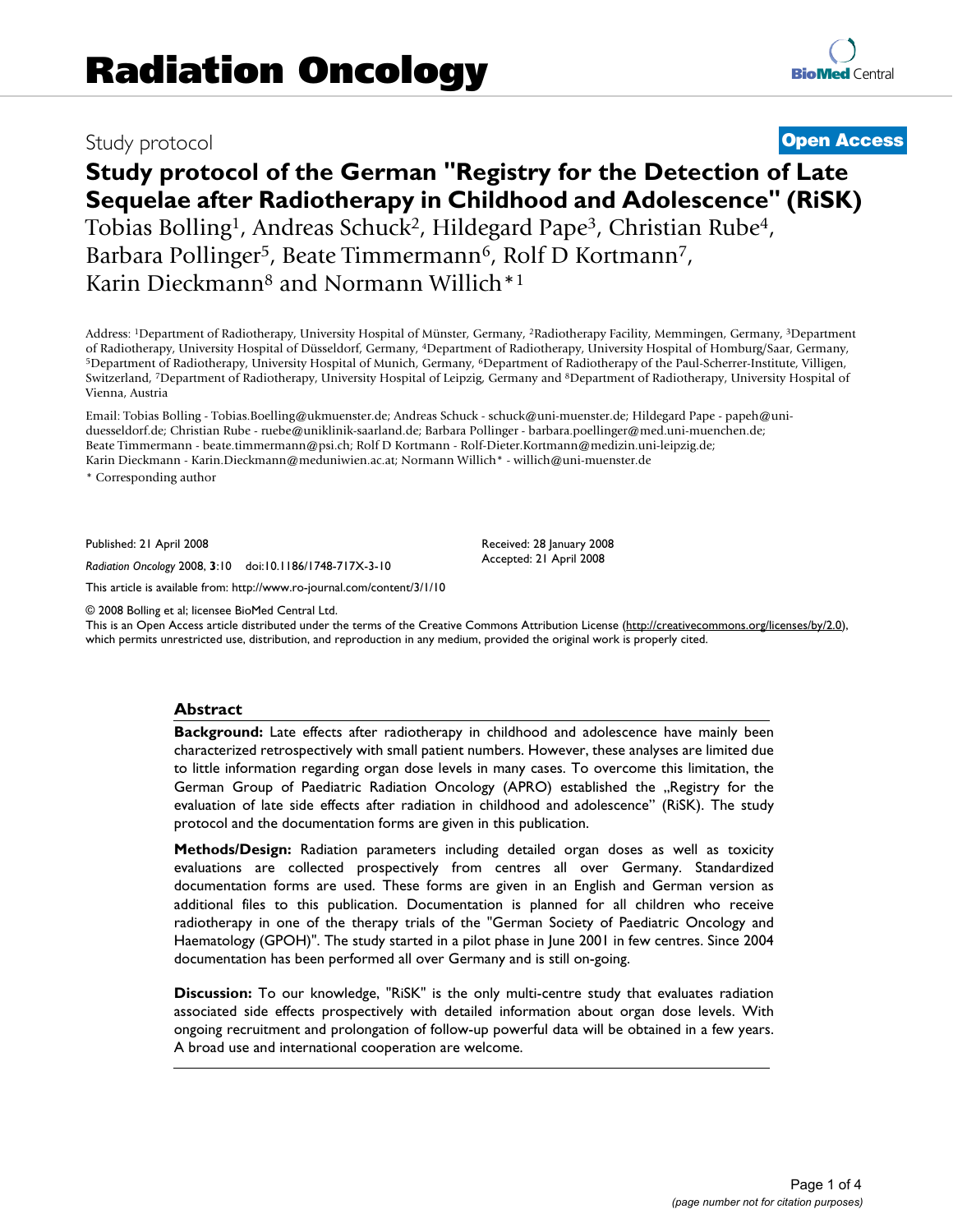# Study protocol **[Open Access](http://www.biomedcentral.com/info/about/charter/)**

# **Study protocol of the German "Registry for the Detection of Late Sequelae after Radiotherapy in Childhood and Adolescence" (RiSK)** Tobias Bolling<sup>1</sup>, Andreas Schuck<sup>2</sup>, Hildegard Pape<sup>3</sup>, Christian Rube<sup>4</sup>, Barbara Pollinger<sup>5</sup>, Beate Timmermann<sup>6</sup>, Rolf D Kortmann<sup>7</sup>, Karin Dieckmann8 and Normann Willich\*1

Address: <sup>1</sup>Department of Radiotherapy, University Hospital of Münster, Germany, <sup>2</sup>Radiotherapy Facility, Memmingen, Germany, <sup>3</sup>Department of Radiotherapy, University Hospital of Homburg/Saar, Germany, <sup>5</sup>Department of Radiotherapy, University Hospital of Munich, Germany, <sup>6</sup>Department of Radiotherapy of the Paul-Scherrer-Institute, Villigen, Switzerland, <sup>7</sup>Department of Radiotherapy, University Hospital of Leipzig, Germany and <sup>8</sup>Department of Radiotherapy, University Hospital of Vienna, Austria

Email: Tobias Bolling - Tobias.Boelling@ukmuenster.de; Andreas Schuck - schuck@uni-muenster.de; Hildegard Pape - papeh@uniduesseldorf.de; Christian Rube - ruebe@uniklinik-saarland.de; Barbara Pollinger - barbara.poellinger@med.uni-muenchen.de; Beate Timmermann - beate.timmermann@psi.ch; Rolf D Kortmann - Rolf-Dieter.Kortmann@medizin.uni-leipzig.de; Karin Dieckmann - Karin.Dieckmann@meduniwien.ac.at; Normann Willich\* - willich@uni-muenster.de

\* Corresponding author

Published: 21 April 2008

*Radiation Oncology* 2008, **3**:10 doi:10.1186/1748-717X-3-10

[This article is available from: http://www.ro-journal.com/content/3/1/10](http://www.ro-journal.com/content/3/1/10)

© 2008 Bolling et al; licensee BioMed Central Ltd.

This is an Open Access article distributed under the terms of the Creative Commons Attribution License [\(http://creativecommons.org/licenses/by/2.0\)](http://creativecommons.org/licenses/by/2.0), which permits unrestricted use, distribution, and reproduction in any medium, provided the original work is properly cited.

Received: 28 January 2008 Accepted: 21 April 2008

#### **Abstract**

**Background:** Late effects after radiotherapy in childhood and adolescence have mainly been characterized retrospectively with small patient numbers. However, these analyses are limited due to little information regarding organ dose levels in many cases. To overcome this limitation, the German Group of Paediatric Radiation Oncology (APRO) established the "Registry for the evaluation of late side effects after radiation in childhood and adolescence" (RiSK). The study protocol and the documentation forms are given in this publication.

**Methods/Design:** Radiation parameters including detailed organ doses as well as toxicity evaluations are collected prospectively from centres all over Germany. Standardized documentation forms are used. These forms are given in an English and German version as additional files to this publication. Documentation is planned for all children who receive radiotherapy in one of the therapy trials of the "German Society of Paediatric Oncology and Haematology (GPOH)". The study started in a pilot phase in June 2001 in few centres. Since 2004 documentation has been performed all over Germany and is still on-going.

**Discussion:** To our knowledge, "RiSK" is the only multi-centre study that evaluates radiation associated side effects prospectively with detailed information about organ dose levels. With ongoing recruitment and prolongation of follow-up powerful data will be obtained in a few years. A broad use and international cooperation are welcome.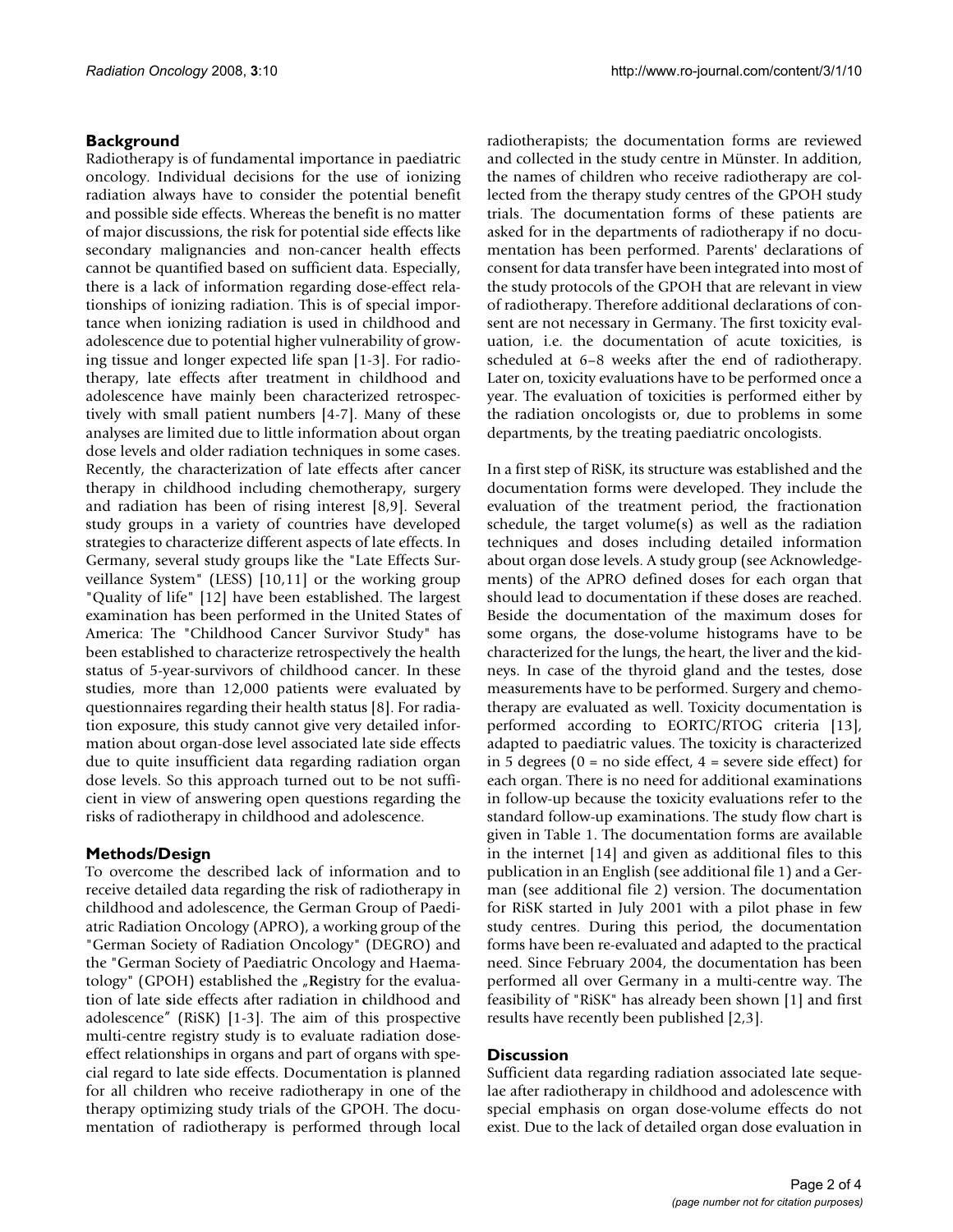# **Background**

Radiotherapy is of fundamental importance in paediatric oncology. Individual decisions for the use of ionizing radiation always have to consider the potential benefit and possible side effects. Whereas the benefit is no matter of major discussions, the risk for potential side effects like secondary malignancies and non-cancer health effects cannot be quantified based on sufficient data. Especially, there is a lack of information regarding dose-effect relationships of ionizing radiation. This is of special importance when ionizing radiation is used in childhood and adolescence due to potential higher vulnerability of growing tissue and longer expected life span [1-3]. For radiotherapy, late effects after treatment in childhood and adolescence have mainly been characterized retrospectively with small patient numbers [4-7]. Many of these analyses are limited due to little information about organ dose levels and older radiation techniques in some cases. Recently, the characterization of late effects after cancer therapy in childhood including chemotherapy, surgery and radiation has been of rising interest [8,9]. Several study groups in a variety of countries have developed strategies to characterize different aspects of late effects. In Germany, several study groups like the "Late Effects Surveillance System" (LESS) [10,11] or the working group "Quality of life" [12] have been established. The largest examination has been performed in the United States of America: The "Childhood Cancer Survivor Study" has been established to characterize retrospectively the health status of 5-year-survivors of childhood cancer. In these studies, more than 12,000 patients were evaluated by questionnaires regarding their health status [8]. For radiation exposure, this study cannot give very detailed information about organ-dose level associated late side effects due to quite insufficient data regarding radiation organ dose levels. So this approach turned out to be not sufficient in view of answering open questions regarding the risks of radiotherapy in childhood and adolescence.

# **Methods/Design**

To overcome the described lack of information and to receive detailed data regarding the risk of radiotherapy in childhood and adolescence, the German Group of Paediatric Radiation Oncology (APRO), a working group of the "German Society of Radiation Oncology" (DEGRO) and the "German Society of Paediatric Oncology and Haematology" (GPOH) established the "Registry for the evaluation of late **s**ide effects after radiation in **c**hildhood and adolescence" (RiSK) [1-3]. The aim of this prospective multi-centre registry study is to evaluate radiation doseeffect relationships in organs and part of organs with special regard to late side effects. Documentation is planned for all children who receive radiotherapy in one of the therapy optimizing study trials of the GPOH. The documentation of radiotherapy is performed through local

radiotherapists; the documentation forms are reviewed and collected in the study centre in Münster. In addition, the names of children who receive radiotherapy are collected from the therapy study centres of the GPOH study trials. The documentation forms of these patients are asked for in the departments of radiotherapy if no documentation has been performed. Parents' declarations of consent for data transfer have been integrated into most of the study protocols of the GPOH that are relevant in view of radiotherapy. Therefore additional declarations of consent are not necessary in Germany. The first toxicity evaluation, i.e. the documentation of acute toxicities, is scheduled at 6–8 weeks after the end of radiotherapy. Later on, toxicity evaluations have to be performed once a year. The evaluation of toxicities is performed either by the radiation oncologists or, due to problems in some departments, by the treating paediatric oncologists.

In a first step of RiSK, its structure was established and the documentation forms were developed. They include the evaluation of the treatment period, the fractionation schedule, the target volume(s) as well as the radiation techniques and doses including detailed information about organ dose levels. A study group (see Acknowledgements) of the APRO defined doses for each organ that should lead to documentation if these doses are reached. Beside the documentation of the maximum doses for some organs, the dose-volume histograms have to be characterized for the lungs, the heart, the liver and the kidneys. In case of the thyroid gland and the testes, dose measurements have to be performed. Surgery and chemotherapy are evaluated as well. Toxicity documentation is performed according to EORTC/RTOG criteria [13], adapted to paediatric values. The toxicity is characterized in 5 degrees ( $0 = no$  side effect,  $4 = se$ vere side effect) for each organ. There is no need for additional examinations in follow-up because the toxicity evaluations refer to the standard follow-up examinations. The study flow chart is given in Table 1. The documentation forms are available in the internet [14] and given as additional files to this publication in an English (see additional file 1) and a German (see additional file 2) version. The documentation for RiSK started in July 2001 with a pilot phase in few study centres. During this period, the documentation forms have been re-evaluated and adapted to the practical need. Since February 2004, the documentation has been performed all over Germany in a multi-centre way. The feasibility of "RiSK" has already been shown [1] and first results have recently been published [2,3].

# **Discussion**

Sufficient data regarding radiation associated late sequelae after radiotherapy in childhood and adolescence with special emphasis on organ dose-volume effects do not exist. Due to the lack of detailed organ dose evaluation in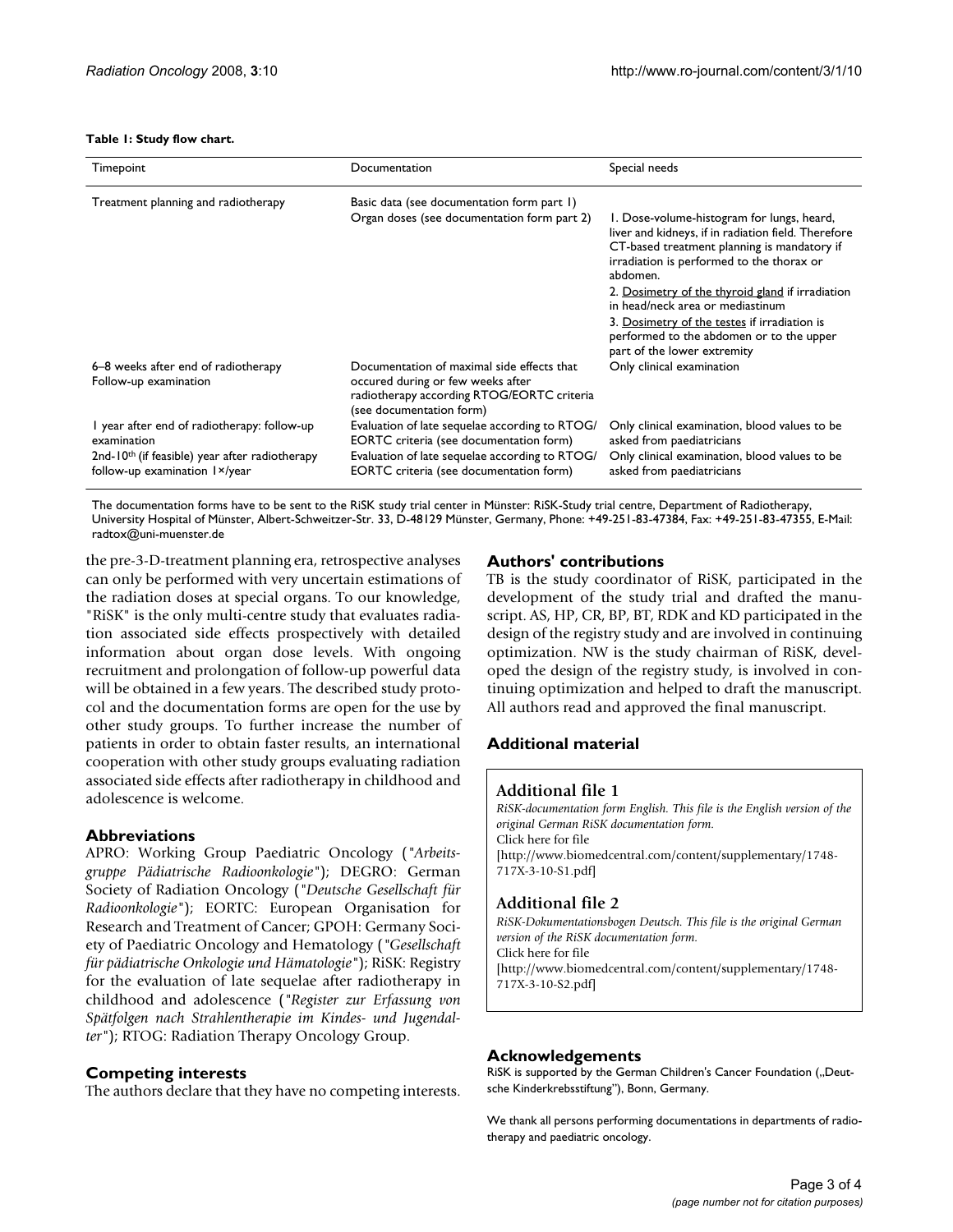#### **Table 1: Study flow chart.**

| Timepoint                                                                                                                                                 | Documentation                                                                                                                                                                          | Special needs                                                                                                                                                                                                                                                                                     |
|-----------------------------------------------------------------------------------------------------------------------------------------------------------|----------------------------------------------------------------------------------------------------------------------------------------------------------------------------------------|---------------------------------------------------------------------------------------------------------------------------------------------------------------------------------------------------------------------------------------------------------------------------------------------------|
| Treatment planning and radiotherapy                                                                                                                       | Basic data (see documentation form part 1)                                                                                                                                             |                                                                                                                                                                                                                                                                                                   |
|                                                                                                                                                           | Organ doses (see documentation form part 2)                                                                                                                                            | 1. Dose-volume-histogram for lungs, heard,<br>liver and kidneys, if in radiation field. Therefore<br>CT-based treatment planning is mandatory if<br>irradiation is performed to the thorax or<br>abdomen.<br>2. Dosimetry of the thyroid gland if irradiation<br>in head/neck area or mediastinum |
|                                                                                                                                                           |                                                                                                                                                                                        | 3. Dosimetry of the testes if irradiation is<br>performed to the abdomen or to the upper<br>part of the lower extremity                                                                                                                                                                           |
| 6–8 weeks after end of radiotherapy<br>Follow-up examination                                                                                              | Documentation of maximal side effects that<br>occured during or few weeks after<br>radiotherapy according RTOG/EORTC criteria<br>(see documentation form)                              | Only clinical examination                                                                                                                                                                                                                                                                         |
| I year after end of radiotherapy: follow-up<br>examination<br>2nd-10 <sup>th</sup> (if feasible) year after radiotherapy<br>follow-up examination 1×/year | Evaluation of late sequelae according to RTOG/<br>EORTC criteria (see documentation form)<br>Evaluation of late sequelae according to RTOG/<br>EORTC criteria (see documentation form) | Only clinical examination, blood values to be<br>asked from paediatricians<br>Only clinical examination, blood values to be<br>asked from paediatricians                                                                                                                                          |

The documentation forms have to be sent to the RiSK study trial center in Münster: RiSK-Study trial centre, Department of Radiotherapy, University Hospital of Münster, Albert-Schweitzer-Str. 33, D-48129 Münster, Germany, Phone: +49-251-83-47384, Fax: +49-251-83-47355, E-Mail: radtox@uni-muenster.de

the pre-3-D-treatment planning era, retrospective analyses can only be performed with very uncertain estimations of the radiation doses at special organs. To our knowledge, "RiSK" is the only multi-centre study that evaluates radiation associated side effects prospectively with detailed information about organ dose levels. With ongoing recruitment and prolongation of follow-up powerful data will be obtained in a few years. The described study protocol and the documentation forms are open for the use by other study groups. To further increase the number of patients in order to obtain faster results, an international cooperation with other study groups evaluating radiation associated side effects after radiotherapy in childhood and adolescence is welcome.

### **Abbreviations**

APRO: Working Group Paediatric Oncology (*"Arbeitsgruppe Pädiatrische Radioonkologie"*); DEGRO: German Society of Radiation Oncology (*"Deutsche Gesellschaft für Radioonkologie"*); EORTC: European Organisation for Research and Treatment of Cancer; GPOH: Germany Society of Paediatric Oncology and Hematology (*"Gesellschaft für pädiatrische Onkologie und Hämatologie"*); RiSK: Registry for the evaluation of late sequelae after radiotherapy in childhood and adolescence (*"Register zur Erfassung von Spätfolgen nach Strahlentherapie im Kindes- und Jugendalter"*); RTOG: Radiation Therapy Oncology Group.

# **Competing interests**

The authors declare that they have no competing interests.

## **Authors' contributions**

TB is the study coordinator of RiSK, participated in the development of the study trial and drafted the manuscript. AS, HP, CR, BP, BT, RDK and KD participated in the design of the registry study and are involved in continuing optimization. NW is the study chairman of RiSK, developed the design of the registry study, is involved in continuing optimization and helped to draft the manuscript. All authors read and approved the final manuscript.

# **Additional material**

### **Additional file 1**

*RiSK-documentation form English. This file is the English version of the original German RiSK documentation form.* Click here for file [\[http://www.biomedcentral.com/content/supplementary/1748-](http://www.biomedcentral.com/content/supplementary/1748-717X-3-10-S1.pdf) 717X-3-10-S1.pdf]

# **Additional file 2**

*RiSK-Dokumentationsbogen Deutsch. This file is the original German version of the RiSK documentation form.* Click here for file [\[http://www.biomedcentral.com/content/supplementary/1748-](http://www.biomedcentral.com/content/supplementary/1748-717X-3-10-S2.pdf)

717X-3-10-S2.pdf]

### **Acknowledgements**

RiSK is supported by the German Children's Cancer Foundation ("Deutsche Kinderkrebsstiftung"), Bonn, Germany.

We thank all persons performing documentations in departments of radiotherapy and paediatric oncology.